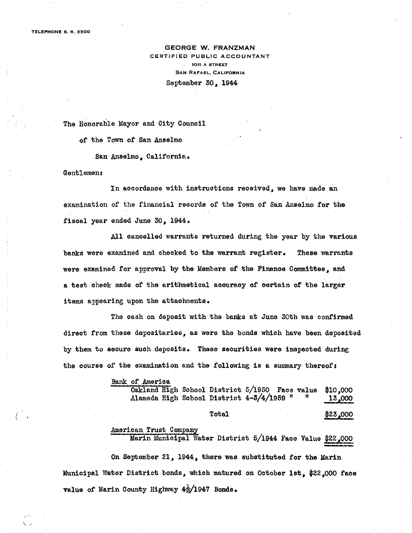TELEPHONE S. R. 3500

GEORGE W. FRANZMAN CERTIFIED PUBLIC ACCOUNTANT 1011 A STREET SAN RAFAEL. CALIFORNIA Septentber 30, 1944

The Honorable Mayor and City Council

of the Town of San Anselmo

San Anselmo, California.

#### Gentlemen:

 $\zeta$ 

/--,  $\setminus$ 

In accordance with instructions received, we have made an examination of the financial records of the Town of San Anselmo for the fiscal year ended June 30, 1944.

All cancelled warrants returned during the year by the various banks were examined and checked to the warrant register. These warrants were examined for approval by the Members of the Finance Committee, and a test check made of the arithmetical acouraoy of oertain of the larger items appearing upon the attachments.

The cash on deposit with the banks at June 30th was confirmed direct from these depositaries, as were the bonds which have been deposited by them to secure such deposits. These securities were inspeoted during the course of the examination and the following is a summary thereof:

> Bank of America Oakland High School District 5/1950 Face value Alameda High School District 4-3/4/1959 " \$10,000 13,000

> > Total

\$23,000

American Trust Company

Marin Municipal Water District 5/1944 Face Value \$22,002

On September 21, 1944, there was substituted for the Marin Municipal Water District bonds, which matured on October 1st, \$22,000 face value of Marin County Highway  $4\frac{1}{2}/1947$  Bonds.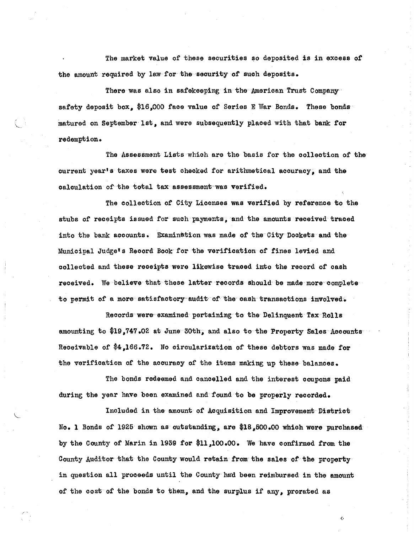The market value of these securities so deposited is in excess of the amount required by law for the security of such deposits.

There was also in safekeeping in the American Trust Company safety deposit box, \$16,000 face value of Series E War Bonds. These bonds matured on September 1st. and were subsequently placed with that bank for redemption.

 $\mathcal{L}$  .

 $\setminus$ 

/- -

The Assessment Lists which are the basis for the oollection of the current year's taxes were test checked for arithmetical accuracy, and the calculation of the total tax assessment was verified.

The collection of City Licenses was verified by reference to the stubs of receipts issued for such payments, and the amounts received traced into the bank acoounts. Examination was made of the City Dockets and the Municipal Judge's Record Book for the verification of fines levied and collected and these receipts were likewise traced into the reoord of cash received. We believe that these latter records should be made more complete to permit of a more satisfactory audit of the cash transactions involved.

Records were' examined pertaining to the Delinquent Tax Rolls amounting to  $$19,747.02$  at June  $30th$ , and also to the Property Sales Accounts Receivable of \$4,166.72. No circularization of these debtors was made for the verification of the accuraoy of the items making up these balances.

The bonds redeemed and cancelled and the interest ooupons paid during the year have been examined and found to be properly recorded.

Inoluded in the amount of Acquisition and Improvement District No. 1 Bonds of 1925 shown as outstanding, are \$18,500.00 which were purchased by the County of Marin in 1939 for \$11,100.00. We have confirmed trom the County Auditor that the County would retain from the sales of the property in question all proceeds until the County had been reimbursed in the amount of the cost of the bonds to them, and the surplus if any, prorated as

c·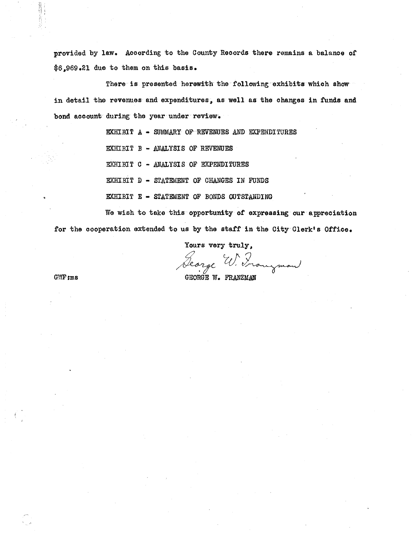provided by law. Aocording to the County Records there remains a balance of \$6,969.21 due to them on this basis.

There is presented herewith the following exhibits which show in detail the revenues and expenditures, as well as the changes in funds and bond account during the year under review.

> EXHIBIT A - SUMMARY OF REVENUES AND EXPENDITURES EXHIBIT B - ANALYSIS OF REVENUES EXHIBIT C - ANALYSIS OF EXPENDITURES EXHIBIT D - STATEMENT OF CHANGES IN FUNDS EXHIBIT E - STATEMENT OF BONDS OUTSTANDING

We wish to take this opportunity of expressing our appreciation for the cooperation extended to us by the staff in the City Clerk's Office.

Yours very truly.

George W. Franzman

GWF:ms

'p  $\mathbb{Q}$  :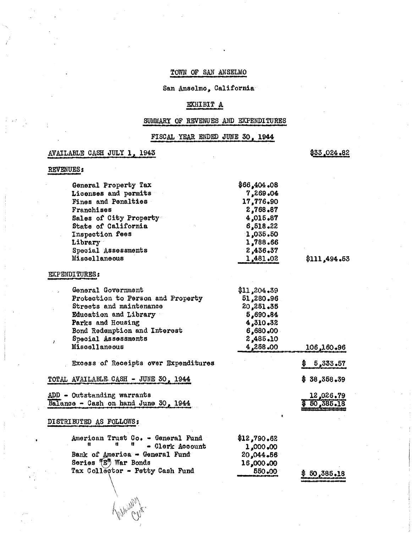### TOWN OF SAN ANSELMO

San Anselmo, California

### EXHIBIT A

### SUMMARY OF REVENUES AND EXPENDITURES

FISCAL YEAR ENDED JUNE 30, 1944

### AVAILABLE CASH JULY 1, 1943

\$33,024.82

### REVENUES:

| General Property Tax                               | \$66,404.08 |              |
|----------------------------------------------------|-------------|--------------|
| Licenses and permits                               | 7,269.04    |              |
| Fines and Penalties                                | 17,776.90   |              |
| Franchises                                         | 2,768.87    |              |
| Sales of City Property                             | 4,015.87    |              |
| State of California                                | 6,518.22    |              |
| Inspection fees                                    | 1,035.50    |              |
| Library                                            | 1,788.66    |              |
| Special Assessments                                | 2,436.37    |              |
| Miscellaneous                                      | 1,481.02    | \$111,494.53 |
| <b>EXPENDITURES:</b>                               |             |              |
| General Government                                 | \$11,204.39 |              |
| Protection to Person and Property                  | 51,280.96   |              |
| Streets and maintenance                            | 20,251.35   |              |
| Education and Library                              | 5,690.84    |              |
| Parks and Housing                                  | 4,310,32    |              |
| Bond Redemption and Interest                       | 6,680.00    |              |
| Special Assessments<br>$\mathcal{L}_{\mathcal{L}}$ | 2,485.10    |              |
| Miscellaneous                                      | 4,258.00    | 106,160.96   |
| Excess of Receipts over Expenditures               |             | 5,333.57     |
| TOTAL AVAILABLE CASH - JUNE 30, 1944               |             | \$38,358,39  |
| ADD - Outstanding warrants                         |             | 12,026.79    |
| Balance - Cash on hand June 30, 1944               |             | \$50,385.18  |
| DISTRIBUTED AS FOLLOWS:                            |             |              |
| American Trust Co. - General Fund                  | \$12,790.62 |              |
| Ħ<br>- Clerk Account                               | 1,000.00    |              |
| Bank of America - General Fund                     | 20,044.56   |              |
| Series <sup>#</sup> E <sup>6</sup> War Bonds       | 16,000.00   |              |
| Tax Collector - Petty Cash Fund                    | 550.00      | \$60.385.18  |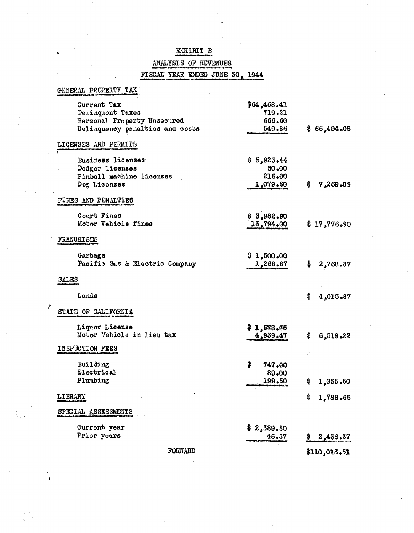### EXHIBIT B

### ANALYSIS OF REVENUES

## FISCAL YEAR ENDED JUNE 30, 1944

| GENERAL PROPERTY TAX                                           |                       |                 |
|----------------------------------------------------------------|-----------------------|-----------------|
| Current Tax<br>Delinquent Taxes                                | \$64,468.41<br>719.21 |                 |
| Personal Property Unsecured<br>Delinquency penalties and costs | 666.60<br>549.86      | \$66,404.08     |
| LICENSES AND PERMITS                                           |                       |                 |
| Business licenses                                              | \$5,923,44<br>50.00   |                 |
| Dodger licenses<br>Pinball machine licenses                    | 216.00                |                 |
| Dog Licenses                                                   | 1,079.60              | 7,269.04<br>\$. |
| FINES AND PENALTIES                                            |                       |                 |
| Court Fines                                                    | \$3,982.90            |                 |
| Motor Vehicle fines                                            | 13,794,00             | \$17,776.90     |
| <b>FRANCHISES</b>                                              |                       |                 |
| Garbage                                                        | \$1,500,00            |                 |
| Pacific Gas & Electric Company                                 | 1,268.87              | \$<br>2,768.87  |
| <b>SALES</b>                                                   |                       |                 |
| Lands                                                          |                       | \$<br>4,015.87  |
| STATE OF CALIFORNIA                                            |                       |                 |
| Liquor License<br>Motor Vehicle in lieu tax                    | \$1,578.76            |                 |
|                                                                | 4,939.47              | \$<br>6,518.22  |
| INSPECTION FEES                                                |                       |                 |
| Building<br>Electrical                                         | \$<br>747,00<br>89.00 |                 |
| Plumbing                                                       | 199.50                | \$<br>1,035.50  |
| LIBRARY                                                        |                       | \$<br>1,788.66  |
| SPECIAL ASSESSMENTS                                            |                       |                 |
| Current year                                                   | 2,389.80              |                 |
| Prior years                                                    | 46.57                 | 2,436.37<br>Ş   |
| FORWARD                                                        |                       | \$110,013.51    |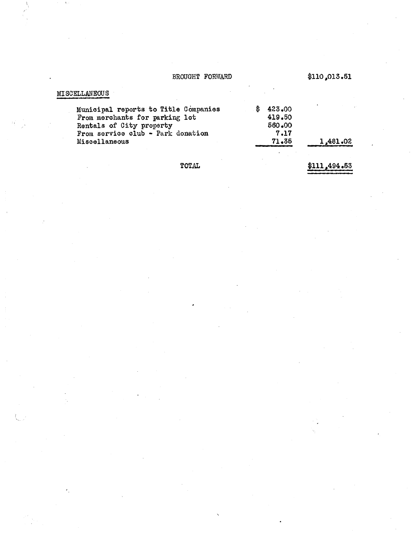### BROUGHT FORWARD

 $$110,013.51$ 

| <b>MISCELLANEOUS</b>                                                                                                                    |                                          |          |
|-----------------------------------------------------------------------------------------------------------------------------------------|------------------------------------------|----------|
| Municipal reports to Title Companies<br>From merchants for parking lot<br>Rentals of City property<br>From service club - Park donation | 423.00<br>\$<br>419.50<br>560.00<br>7.17 |          |
| Miscellaneous                                                                                                                           | 71.36                                    | 1,481.02 |
| ТОТАІ.                                                                                                                                  |                                          |          |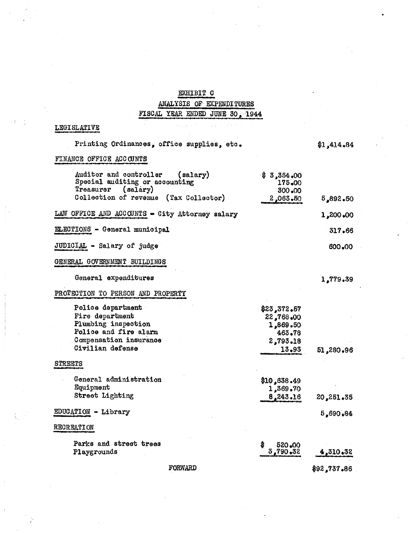# EXHIBIT C **ANALYSIS OF EXPENDITURES**<br>FISCAL YEAR ENDED JUNE 30, 1944

### **LEGISLATIVE**

| Printing Ordinances, office supplies, etc.                                                    |                                            | \$1,414.84         |
|-----------------------------------------------------------------------------------------------|--------------------------------------------|--------------------|
| FINANCE OFFICE ACCOUNTS                                                                       |                                            |                    |
| Auditor and controller<br>(salary)<br>Special auditing or accounting<br>Treasurer<br>(salary) | $\frac{1}{2}$ 3,354.00<br>175.00<br>300.00 |                    |
| Collection of revenue<br>(Tax Collector)                                                      | 2,063,50                                   | 5,892,50           |
| LAW OFFICE AND ACCOUNTS - City Attorney salary                                                |                                            | 1,200,00           |
| ELECTIONS - General municipal                                                                 |                                            | 317.66             |
| JUDICIAL - Salary of judge                                                                    |                                            | 600.00             |
| GENERAL GOVERNMENT BUILDINGS                                                                  |                                            |                    |
| General expenditures                                                                          |                                            | 1,779.39           |
| PROTECTION TO PERSON AND PROPERTY                                                             |                                            |                    |
| Police department                                                                             | \$23,372.57                                |                    |
| Fire department                                                                               | 22,768.00                                  |                    |
| Plumbing inspection                                                                           | 1,869.50                                   |                    |
| Police and fire alarm                                                                         | 463.78                                     |                    |
| Compensation insurance                                                                        | 2,793.18                                   |                    |
| Civilian defense                                                                              | 13.93                                      | 51,280,96          |
| <b>STREETS</b>                                                                                |                                            |                    |
| General administration                                                                        | \$10,638.49                                |                    |
| Equipment                                                                                     | 1,369.70                                   |                    |
| Street Lighting                                                                               | 8,243.16                                   | 20,251.35          |
|                                                                                               |                                            |                    |
| $EDUCATION - Library$                                                                         |                                            | 5,690.84           |
| <b>RECREATION</b>                                                                             |                                            |                    |
| Parks and street trees                                                                        | \$<br>520.00                               |                    |
| Playgrounds                                                                                   | 3,790,32                                   | 4,310,32           |
| R∩RW∆RD                                                                                       |                                            | &A9 737 A <i>2</i> |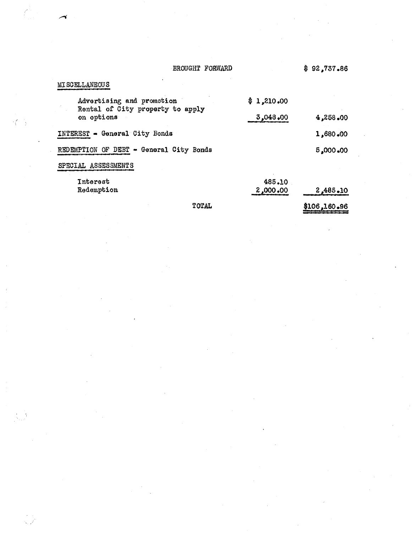### BROUGHT FORWARD

 $\mathcal{L}_{\mathcal{A}}^{(1)}$ 

怪っ

 $\mathcal{L}_{\mathcal{A}}$ 

atra ora ci

 $\overline{a}$ 

 $-$ **Pro Pro movem**   $$92,737.86$ 

| Interest<br>Redemption                                                      | 485.10<br>2,000,00     | 2,485,10 |
|-----------------------------------------------------------------------------|------------------------|----------|
| SPECIAL ASSESSMENTS                                                         |                        |          |
| REDEMPTION OF DEBT - General City Bonds                                     |                        | 5,000,00 |
| INTEREST - General City Bonds                                               |                        | 1,680,00 |
| Advertising and promotion<br>Rental of City property to apply<br>on options | \$1,210.00<br>3,048,00 | 4,258,00 |
| MT DA DITITIMBOO D                                                          |                        |          |

TOTAL

\$106,160.96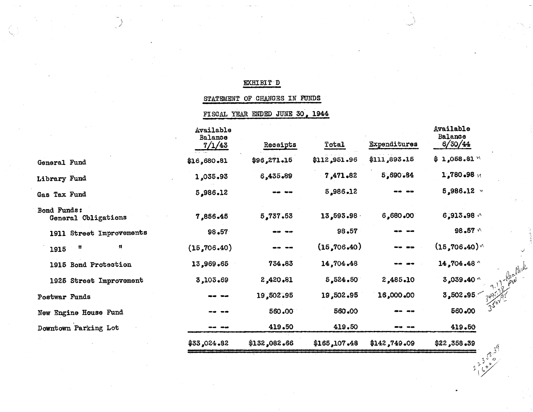### EXHIBIT D

STATEMENT OF CHANGES IN FUNDS

FISCAL YEAR ENDED JUNE 30, 1944

|                                    | Available<br>Balance<br>7/1/43 | Receipts     | Total        | Expenditures | Available<br><b>Balance</b><br>6/30/44         |
|------------------------------------|--------------------------------|--------------|--------------|--------------|------------------------------------------------|
| General Fund                       | \$16,680.81                    | \$96,271.15  | \$112,951.96 | \$111,893.15 | $$1,058.81$ $^{\circ}$                         |
| Library Fund                       | 1,035.93                       | 6,435.89     | 7,471.82     | 5,690.84     | 1,780.98 M                                     |
| Gas Tax Fund                       | 5,986.12                       |              | 5,986.12     |              | $5,986.12$ $\times$                            |
| Bond Funds:<br>General Obligations | 7,856.45                       | 5,737.53     | 13,593.98    | 6,680.00     | 6,913.98 $\land$                               |
| 1911 Street Improvements           | $98 - 57$                      |              | 98.57        |              | 98.57 $\sqrt{ }$                               |
| 賛<br>Ħ<br>1915                     | (15, 706, 40)                  |              | (15,706,40)  | -- -         | $(15, 706, 40)$ <sup><math>\wedge</math></sup> |
| 1915 Bond Protection               | 13,969.65                      | 734.83       | 14,704.48    |              | 14,704.48 $\degree$                            |
| 1925 Street Improvement            | 3,103,69                       | 2,420.81     | 5,524.50     | 2,485.10     | $3,039.40$ $^{\circ}$                          |
| Postwar Funds                      |                                | 19,502.95    | 19,502.95    | 16,000.00    | 3,502,95                                       |
| New Engine House Fund              |                                | 560.00       | 560.00       |              | 350<br>560.00                                  |
| Downtown Parking Lot               |                                | 419.50       | 419.50       | ₩₩           | 419.50                                         |
|                                    | \$33,024.82                    | \$132,082.66 | \$165,107.48 | \$142,749.09 | \$22,358.39<br>ŗĜ.                             |
|                                    |                                |              |              |              |                                                |

ົດ